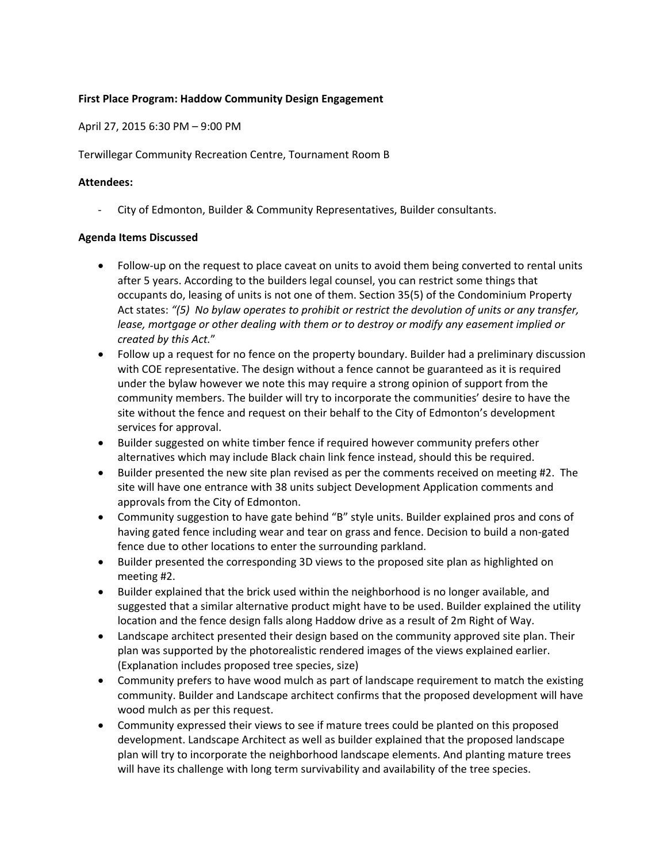## **First Place Program: Haddow Community Design Engagement**

April 27, 2015 6:30 PM – 9:00 PM

Terwillegar Community Recreation Centre, Tournament Room B

## **Attendees:**

‐ City of Edmonton, Builder & Community Representatives, Builder consultants.

## **Agenda Items Discussed**

- Follow-up on the request to place caveat on units to avoid them being converted to rental units after 5 years. According to the builders legal counsel, you can restrict some things that occupants do, leasing of units is not one of them. Section 35(5) of the Condominium Property Act states: *"(5) No bylaw operates to prohibit or restrict the devolution of units or any transfer, lease, mortgage or other dealing with them or to destroy or modify any easement implied or created by this Act.*"
- Follow up a request for no fence on the property boundary. Builder had a preliminary discussion with COE representative. The design without a fence cannot be guaranteed as it is required under the bylaw however we note this may require a strong opinion of support from the community members. The builder will try to incorporate the communities' desire to have the site without the fence and request on their behalf to the City of Edmonton's development services for approval.
- Builder suggested on white timber fence if required however community prefers other alternatives which may include Black chain link fence instead, should this be required.
- Builder presented the new site plan revised as per the comments received on meeting #2. The site will have one entrance with 38 units subject Development Application comments and approvals from the City of Edmonton.
- Community suggestion to have gate behind "B" style units. Builder explained pros and cons of having gated fence including wear and tear on grass and fence. Decision to build a non-gated fence due to other locations to enter the surrounding parkland.
- Builder presented the corresponding 3D views to the proposed site plan as highlighted on meeting #2.
- Builder explained that the brick used within the neighborhood is no longer available, and suggested that a similar alternative product might have to be used. Builder explained the utility location and the fence design falls along Haddow drive as a result of 2m Right of Way.
- Landscape architect presented their design based on the community approved site plan. Their plan was supported by the photorealistic rendered images of the views explained earlier. (Explanation includes proposed tree species, size)
- Community prefers to have wood mulch as part of landscape requirement to match the existing community. Builder and Landscape architect confirms that the proposed development will have wood mulch as per this request.
- Community expressed their views to see if mature trees could be planted on this proposed development. Landscape Architect as well as builder explained that the proposed landscape plan will try to incorporate the neighborhood landscape elements. And planting mature trees will have its challenge with long term survivability and availability of the tree species.